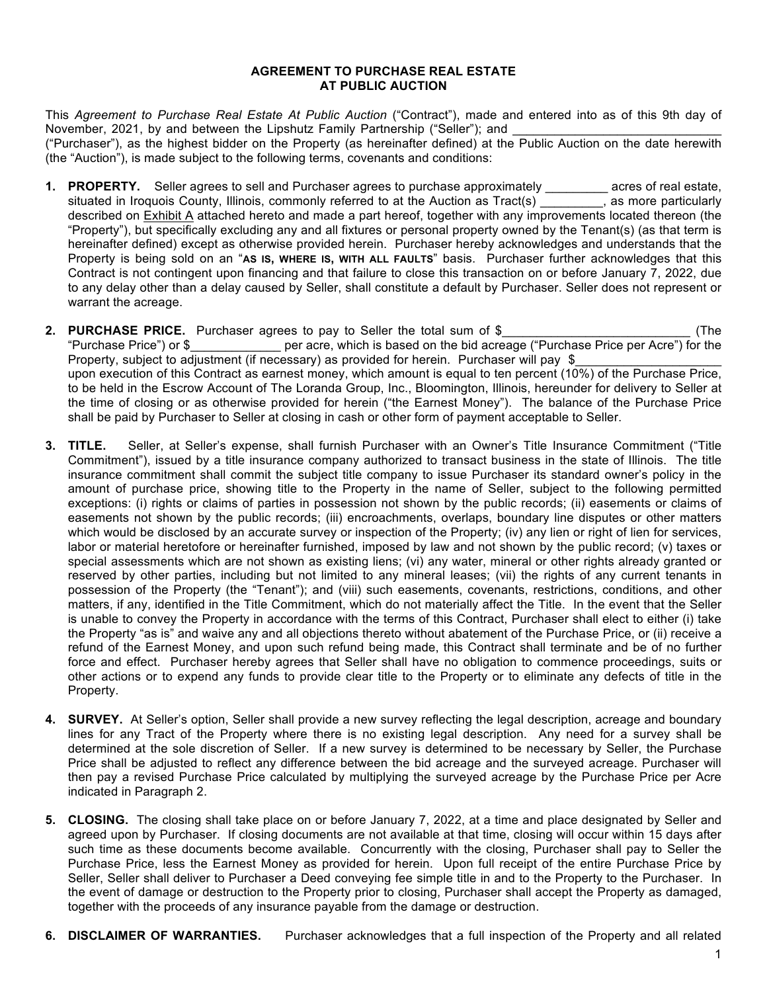## **AGREEMENT TO PURCHASE REAL ESTATE AT PUBLIC AUCTION**

This *Agreement to Purchase Real Estate At Public Auction* ("Contract"), made and entered into as of this 9th day of November, 2021, by and between the Lipshutz Family Partnership ("Seller"); and ("Purchaser"), as the highest bidder on the Property (as hereinafter defined) at the Public Auction on the date herewith (the "Auction"), is made subject to the following terms, covenants and conditions:

- **1. PROPERTY.** Seller agrees to sell and Purchaser agrees to purchase approximately \_\_\_\_\_\_\_\_\_ acres of real estate, situated in Iroquois County, Illinois, commonly referred to at the Auction as Tract(s) \_\_\_\_\_\_\_\_\_, as more particularly described on Exhibit A attached hereto and made a part hereof, together with any improvements located thereon (the "Property"), but specifically excluding any and all fixtures or personal property owned by the Tenant(s) (as that term is hereinafter defined) except as otherwise provided herein. Purchaser hereby acknowledges and understands that the Property is being sold on an "**AS IS, WHERE IS, WITH ALL FAULTS**" basis. Purchaser further acknowledges that this Contract is not contingent upon financing and that failure to close this transaction on or before January 7, 2022, due to any delay other than a delay caused by Seller, shall constitute a default by Purchaser. Seller does not represent or warrant the acreage.
- **2. PURCHASE PRICE.** Purchaser agrees to pay to Seller the total sum of \$\_\_\_\_\_\_\_\_\_\_\_\_\_\_\_\_\_\_\_\_\_\_\_\_\_\_\_ (The "Purchase Price") or \$\_\_\_\_\_\_\_\_\_\_\_\_\_ per acre, which is based on the bid acreage ("Purchase Price per Acre") for the Property, subject to adjustment (if necessary) as provided for herein. Purchaser will pay \$ upon execution of this Contract as earnest money, which amount is equal to ten percent (10%) of the Purchase Price, to be held in the Escrow Account of The Loranda Group, Inc., Bloomington, Illinois, hereunder for delivery to Seller at the time of closing or as otherwise provided for herein ("the Earnest Money"). The balance of the Purchase Price shall be paid by Purchaser to Seller at closing in cash or other form of payment acceptable to Seller.
- **3. TITLE.** Seller, at Seller's expense, shall furnish Purchaser with an Owner's Title Insurance Commitment ("Title Commitment"), issued by a title insurance company authorized to transact business in the state of Illinois. The title insurance commitment shall commit the subject title company to issue Purchaser its standard owner's policy in the amount of purchase price, showing title to the Property in the name of Seller, subject to the following permitted exceptions: (i) rights or claims of parties in possession not shown by the public records; (ii) easements or claims of easements not shown by the public records; (iii) encroachments, overlaps, boundary line disputes or other matters which would be disclosed by an accurate survey or inspection of the Property; (iv) any lien or right of lien for services, labor or material heretofore or hereinafter furnished, imposed by law and not shown by the public record; (v) taxes or special assessments which are not shown as existing liens; (vi) any water, mineral or other rights already granted or reserved by other parties, including but not limited to any mineral leases; (vii) the rights of any current tenants in possession of the Property (the "Tenant"); and (viii) such easements, covenants, restrictions, conditions, and other matters, if any, identified in the Title Commitment, which do not materially affect the Title. In the event that the Seller is unable to convey the Property in accordance with the terms of this Contract, Purchaser shall elect to either (i) take the Property "as is" and waive any and all objections thereto without abatement of the Purchase Price, or (ii) receive a refund of the Earnest Money, and upon such refund being made, this Contract shall terminate and be of no further force and effect. Purchaser hereby agrees that Seller shall have no obligation to commence proceedings, suits or other actions or to expend any funds to provide clear title to the Property or to eliminate any defects of title in the Property.
- **4. SURVEY.** At Seller's option, Seller shall provide a new survey reflecting the legal description, acreage and boundary lines for any Tract of the Property where there is no existing legal description. Any need for a survey shall be determined at the sole discretion of Seller. If a new survey is determined to be necessary by Seller, the Purchase Price shall be adjusted to reflect any difference between the bid acreage and the surveyed acreage. Purchaser will then pay a revised Purchase Price calculated by multiplying the surveyed acreage by the Purchase Price per Acre indicated in Paragraph 2.
- **5. CLOSING.** The closing shall take place on or before January 7, 2022, at a time and place designated by Seller and agreed upon by Purchaser. If closing documents are not available at that time, closing will occur within 15 days after such time as these documents become available. Concurrently with the closing, Purchaser shall pay to Seller the Purchase Price, less the Earnest Money as provided for herein. Upon full receipt of the entire Purchase Price by Seller, Seller shall deliver to Purchaser a Deed conveying fee simple title in and to the Property to the Purchaser. In the event of damage or destruction to the Property prior to closing, Purchaser shall accept the Property as damaged, together with the proceeds of any insurance payable from the damage or destruction.
- **6. DISCLAIMER OF WARRANTIES.** Purchaser acknowledges that a full inspection of the Property and all related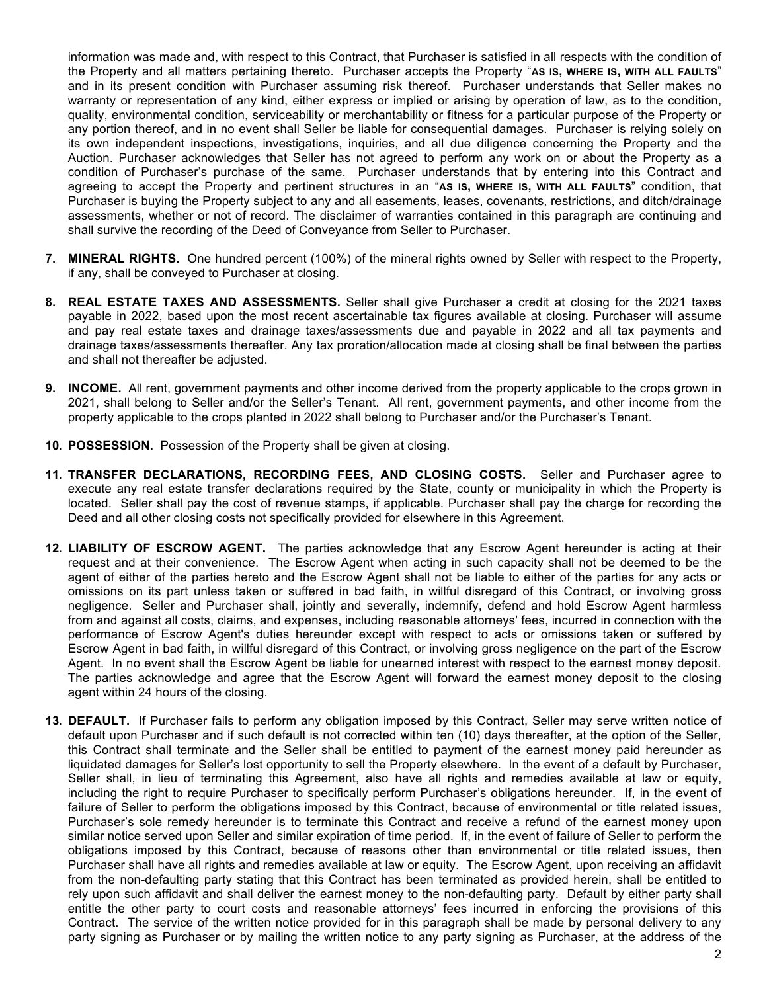information was made and, with respect to this Contract, that Purchaser is satisfied in all respects with the condition of the Property and all matters pertaining thereto. Purchaser accepts the Property "**AS IS, WHERE IS, WITH ALL FAULTS**" and in its present condition with Purchaser assuming risk thereof. Purchaser understands that Seller makes no warranty or representation of any kind, either express or implied or arising by operation of law, as to the condition, quality, environmental condition, serviceability or merchantability or fitness for a particular purpose of the Property or any portion thereof, and in no event shall Seller be liable for consequential damages. Purchaser is relying solely on its own independent inspections, investigations, inquiries, and all due diligence concerning the Property and the Auction. Purchaser acknowledges that Seller has not agreed to perform any work on or about the Property as a condition of Purchaser's purchase of the same. Purchaser understands that by entering into this Contract and agreeing to accept the Property and pertinent structures in an "**AS IS, WHERE IS, WITH ALL FAULTS**" condition, that Purchaser is buying the Property subject to any and all easements, leases, covenants, restrictions, and ditch/drainage assessments, whether or not of record. The disclaimer of warranties contained in this paragraph are continuing and shall survive the recording of the Deed of Conveyance from Seller to Purchaser.

- **7. MINERAL RIGHTS.** One hundred percent (100%) of the mineral rights owned by Seller with respect to the Property, if any, shall be conveyed to Purchaser at closing.
- **8. REAL ESTATE TAXES AND ASSESSMENTS.** Seller shall give Purchaser a credit at closing for the 2021 taxes payable in 2022, based upon the most recent ascertainable tax figures available at closing. Purchaser will assume and pay real estate taxes and drainage taxes/assessments due and payable in 2022 and all tax payments and drainage taxes/assessments thereafter. Any tax proration/allocation made at closing shall be final between the parties and shall not thereafter be adjusted.
- **9. INCOME.** All rent, government payments and other income derived from the property applicable to the crops grown in 2021, shall belong to Seller and/or the Seller's Tenant. All rent, government payments, and other income from the property applicable to the crops planted in 2022 shall belong to Purchaser and/or the Purchaser's Tenant.
- **10. POSSESSION.** Possession of the Property shall be given at closing.
- **11. TRANSFER DECLARATIONS, RECORDING FEES, AND CLOSING COSTS.** Seller and Purchaser agree to execute any real estate transfer declarations required by the State, county or municipality in which the Property is located. Seller shall pay the cost of revenue stamps, if applicable. Purchaser shall pay the charge for recording the Deed and all other closing costs not specifically provided for elsewhere in this Agreement.
- **12. LIABILITY OF ESCROW AGENT.** The parties acknowledge that any Escrow Agent hereunder is acting at their request and at their convenience. The Escrow Agent when acting in such capacity shall not be deemed to be the agent of either of the parties hereto and the Escrow Agent shall not be liable to either of the parties for any acts or omissions on its part unless taken or suffered in bad faith, in willful disregard of this Contract, or involving gross negligence. Seller and Purchaser shall, jointly and severally, indemnify, defend and hold Escrow Agent harmless from and against all costs, claims, and expenses, including reasonable attorneys' fees, incurred in connection with the performance of Escrow Agent's duties hereunder except with respect to acts or omissions taken or suffered by Escrow Agent in bad faith, in willful disregard of this Contract, or involving gross negligence on the part of the Escrow Agent. In no event shall the Escrow Agent be liable for unearned interest with respect to the earnest money deposit. The parties acknowledge and agree that the Escrow Agent will forward the earnest money deposit to the closing agent within 24 hours of the closing.
- **13. DEFAULT.** If Purchaser fails to perform any obligation imposed by this Contract, Seller may serve written notice of default upon Purchaser and if such default is not corrected within ten (10) days thereafter, at the option of the Seller, this Contract shall terminate and the Seller shall be entitled to payment of the earnest money paid hereunder as liquidated damages for Seller's lost opportunity to sell the Property elsewhere. In the event of a default by Purchaser, Seller shall, in lieu of terminating this Agreement, also have all rights and remedies available at law or equity, including the right to require Purchaser to specifically perform Purchaser's obligations hereunder. If, in the event of failure of Seller to perform the obligations imposed by this Contract, because of environmental or title related issues, Purchaser's sole remedy hereunder is to terminate this Contract and receive a refund of the earnest money upon similar notice served upon Seller and similar expiration of time period. If, in the event of failure of Seller to perform the obligations imposed by this Contract, because of reasons other than environmental or title related issues, then Purchaser shall have all rights and remedies available at law or equity. The Escrow Agent, upon receiving an affidavit from the non-defaulting party stating that this Contract has been terminated as provided herein, shall be entitled to rely upon such affidavit and shall deliver the earnest money to the non-defaulting party. Default by either party shall entitle the other party to court costs and reasonable attorneys' fees incurred in enforcing the provisions of this Contract. The service of the written notice provided for in this paragraph shall be made by personal delivery to any party signing as Purchaser or by mailing the written notice to any party signing as Purchaser, at the address of the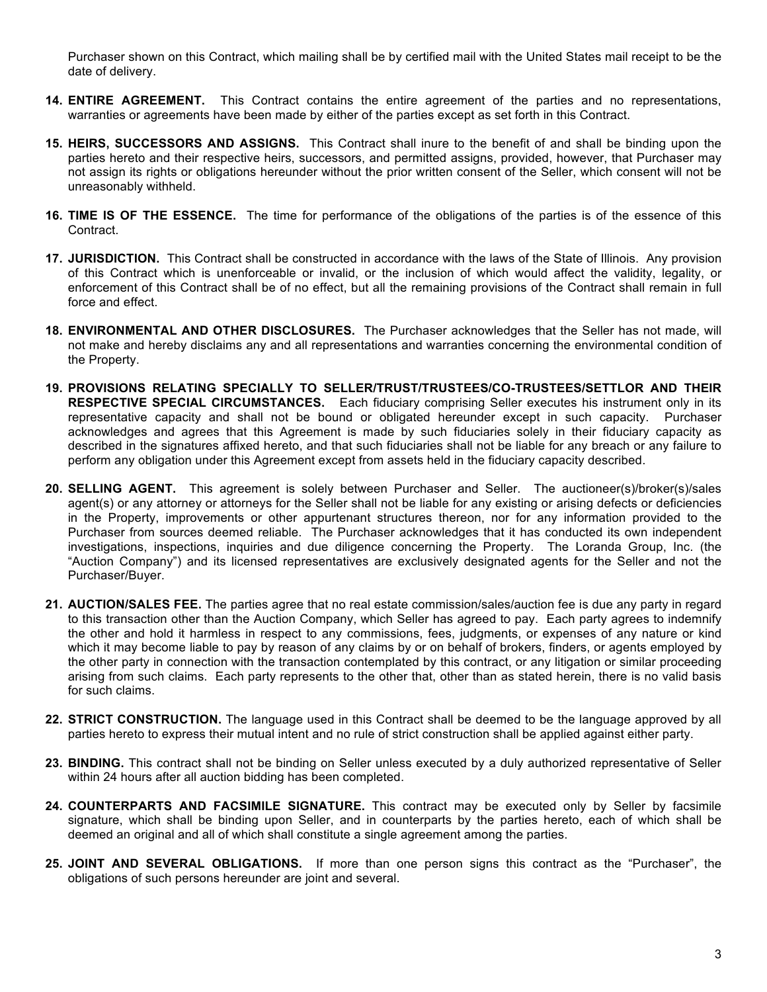Purchaser shown on this Contract, which mailing shall be by certified mail with the United States mail receipt to be the date of delivery.

- **14. ENTIRE AGREEMENT.** This Contract contains the entire agreement of the parties and no representations, warranties or agreements have been made by either of the parties except as set forth in this Contract.
- **15. HEIRS, SUCCESSORS AND ASSIGNS.** This Contract shall inure to the benefit of and shall be binding upon the parties hereto and their respective heirs, successors, and permitted assigns, provided, however, that Purchaser may not assign its rights or obligations hereunder without the prior written consent of the Seller, which consent will not be unreasonably withheld.
- **16. TIME IS OF THE ESSENCE.** The time for performance of the obligations of the parties is of the essence of this Contract.
- **17. JURISDICTION.** This Contract shall be constructed in accordance with the laws of the State of Illinois. Any provision of this Contract which is unenforceable or invalid, or the inclusion of which would affect the validity, legality, or enforcement of this Contract shall be of no effect, but all the remaining provisions of the Contract shall remain in full force and effect.
- **18. ENVIRONMENTAL AND OTHER DISCLOSURES.** The Purchaser acknowledges that the Seller has not made, will not make and hereby disclaims any and all representations and warranties concerning the environmental condition of the Property.
- **19. PROVISIONS RELATING SPECIALLY TO SELLER/TRUST/TRUSTEES/CO-TRUSTEES/SETTLOR AND THEIR RESPECTIVE SPECIAL CIRCUMSTANCES.**Each fiduciary comprising Seller executes his instrument only in its representative capacity and shall not be bound or obligated hereunder except in such capacity. Purchaser acknowledges and agrees that this Agreement is made by such fiduciaries solely in their fiduciary capacity as described in the signatures affixed hereto, and that such fiduciaries shall not be liable for any breach or any failure to perform any obligation under this Agreement except from assets held in the fiduciary capacity described.
- **20. SELLING AGENT.** This agreement is solely between Purchaser and Seller. The auctioneer(s)/broker(s)/sales agent(s) or any attorney or attorneys for the Seller shall not be liable for any existing or arising defects or deficiencies in the Property, improvements or other appurtenant structures thereon, nor for any information provided to the Purchaser from sources deemed reliable. The Purchaser acknowledges that it has conducted its own independent investigations, inspections, inquiries and due diligence concerning the Property. The Loranda Group, Inc. (the "Auction Company") and its licensed representatives are exclusively designated agents for the Seller and not the Purchaser/Buyer.
- **21. AUCTION/SALES FEE.** The parties agree that no real estate commission/sales/auction fee is due any party in regard to this transaction other than the Auction Company, which Seller has agreed to pay. Each party agrees to indemnify the other and hold it harmless in respect to any commissions, fees, judgments, or expenses of any nature or kind which it may become liable to pay by reason of any claims by or on behalf of brokers, finders, or agents employed by the other party in connection with the transaction contemplated by this contract, or any litigation or similar proceeding arising from such claims. Each party represents to the other that, other than as stated herein, there is no valid basis for such claims.
- **22. STRICT CONSTRUCTION.** The language used in this Contract shall be deemed to be the language approved by all parties hereto to express their mutual intent and no rule of strict construction shall be applied against either party.
- **23. BINDING.** This contract shall not be binding on Seller unless executed by a duly authorized representative of Seller within 24 hours after all auction bidding has been completed.
- **24. COUNTERPARTS AND FACSIMILE SIGNATURE.** This contract may be executed only by Seller by facsimile signature, which shall be binding upon Seller, and in counterparts by the parties hereto, each of which shall be deemed an original and all of which shall constitute a single agreement among the parties.
- **25. JOINT AND SEVERAL OBLIGATIONS.** If more than one person signs this contract as the "Purchaser", the obligations of such persons hereunder are joint and several.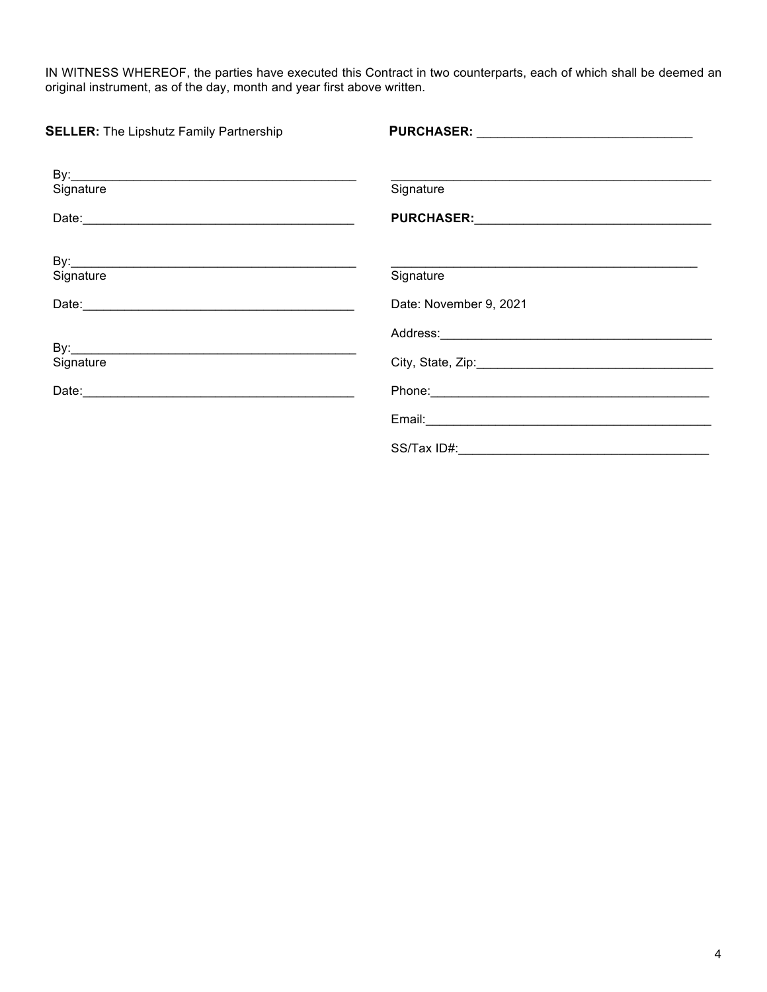IN WITNESS WHEREOF, the parties have executed this Contract in two counterparts, each of which shall be deemed an original instrument, as of the day, month and year first above written.

| <b>SELLER:</b> The Lipshutz Family Partnership                                                                                                                                                                                       |                        |  |
|--------------------------------------------------------------------------------------------------------------------------------------------------------------------------------------------------------------------------------------|------------------------|--|
| Signature                                                                                                                                                                                                                            | Signature              |  |
| Date: <u>contract and contract and contract and contract and contract and contract and contract and contract and contract and contract and contract and contract and contract and contract and contract and contract and contrac</u> |                        |  |
| Signature                                                                                                                                                                                                                            | Signature              |  |
|                                                                                                                                                                                                                                      | Date: November 9, 2021 |  |
| Signature                                                                                                                                                                                                                            |                        |  |
|                                                                                                                                                                                                                                      |                        |  |
|                                                                                                                                                                                                                                      |                        |  |
|                                                                                                                                                                                                                                      |                        |  |